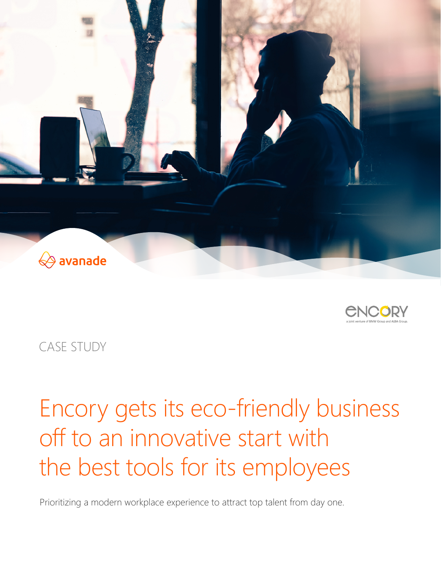



CASE STUDY

# Encory gets its eco-friendly business off to an innovative start with the best tools for its employees

Prioritizing a modern workplace experience to attract top talent from day one.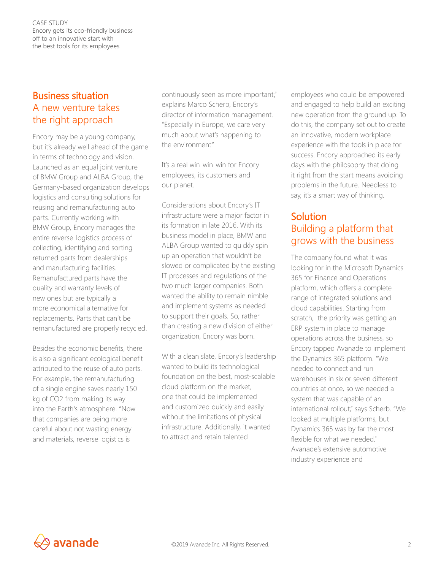CASE STUDY Encory gets its eco-friendly business off to an innovative start with the best tools for its employees

## Business situation A new venture takes the right approach

Encory may be a young company, but it's already well ahead of the game in terms of technology and vision. Launched as an equal joint venture of BMW Group and ALBA Group, the Germany-based organization develops logistics and consulting solutions for reusing and remanufacturing auto parts. Currently working with BMW Group, Encory manages the entire reverse-logistics process of collecting, identifying and sorting returned parts from dealerships and manufacturing facilities. Remanufactured parts have the quality and warranty levels of new ones but are typically a more economical alternative for replacements. Parts that can't be remanufactured are properly recycled.

Besides the economic benefits, there is also a significant ecological benefit attributed to the reuse of auto parts. For example, the remanufacturing of a single engine saves nearly 150 kg of CO2 from making its way into the Earth's atmosphere. "Now that companies are being more careful about not wasting energy and materials, reverse logistics is

continuously seen as more important," explains Marco Scherb, Encory's director of information management. "Especially in Europe, we care very much about what's happening to the environment."

It's a real win-win-win for Encory employees, its customers and our planet.

Considerations about Encory's IT infrastructure were a major factor in its formation in late 2016. With its business model in place, BMW and ALBA Group wanted to quickly spin up an operation that wouldn't be slowed or complicated by the existing IT processes and regulations of the two much larger companies. Both wanted the ability to remain nimble and implement systems as needed to support their goals. So, rather than creating a new division of either organization, Encory was born.

With a clean slate, Encory's leadership wanted to build its technological foundation on the best, most-scalable cloud platform on the market, one that could be implemented and customized quickly and easily without the limitations of physical infrastructure. Additionally, it wanted to attract and retain talented

employees who could be empowered and engaged to help build an exciting new operation from the ground up. To do this, the company set out to create an innovative, modern workplace experience with the tools in place for success. Encory approached its early days with the philosophy that doing it right from the start means avoiding problems in the future. Needless to say, it's a smart way of thinking.

# Solution Building a platform that grows with the business

The company found what it was looking for in the Microsoft Dynamics 365 for Finance and Operations platform, which offers a complete range of integrated solutions and cloud capabilities. Starting from scratch, the priority was getting an ERP system in place to manage operations across the business, so Encory tapped Avanade to implement the Dynamics 365 platform. "We needed to connect and run warehouses in six or seven different countries at once, so we needed a system that was capable of an international rollout," says Scherb. "We looked at multiple platforms, but Dynamics 365 was by far the most flexible for what we needed." Avanade's extensive automotive industry experience and